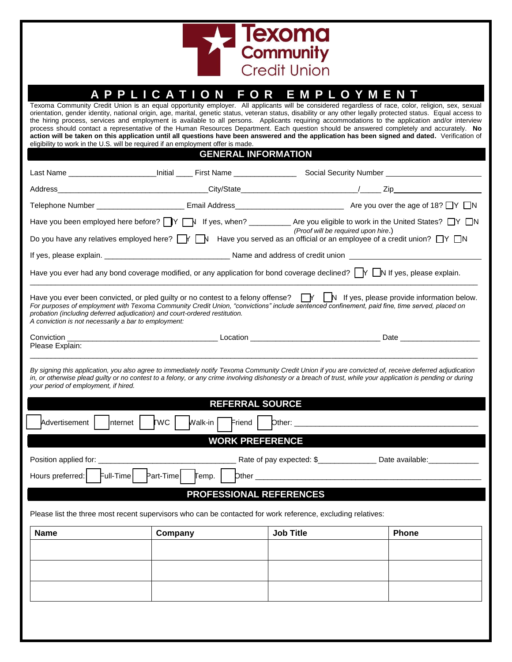

| A                                                                                                                                                                                                                                                                                                                                                                                                                                                                                                                                                                                                                                                                                                                                                                                                                                                           | <b>PPLICATION</b><br><b>FOR</b> | EMPLOYMENT       |       |  |  |  |
|-------------------------------------------------------------------------------------------------------------------------------------------------------------------------------------------------------------------------------------------------------------------------------------------------------------------------------------------------------------------------------------------------------------------------------------------------------------------------------------------------------------------------------------------------------------------------------------------------------------------------------------------------------------------------------------------------------------------------------------------------------------------------------------------------------------------------------------------------------------|---------------------------------|------------------|-------|--|--|--|
| Texoma Community Credit Union is an equal opportunity employer. All applicants will be considered regardless of race, color, religion, sex, sexual<br>orientation, gender identity, national origin, age, marital, genetic status, veteran status, disability or any other legally protected status. Equal access to<br>the hiring process, services and employment is available to all persons. Applicants requiring accommodations to the application and/or interview<br>process should contact a representative of the Human Resources Department. Each question should be answered completely and accurately. No<br>action will be taken on this application until all questions have been answered and the application has been signed and dated. Verification of<br>eligibility to work in the U.S. will be required if an employment offer is made. |                                 |                  |       |  |  |  |
|                                                                                                                                                                                                                                                                                                                                                                                                                                                                                                                                                                                                                                                                                                                                                                                                                                                             | <b>GENERAL INFORMATION</b>      |                  |       |  |  |  |
|                                                                                                                                                                                                                                                                                                                                                                                                                                                                                                                                                                                                                                                                                                                                                                                                                                                             |                                 |                  |       |  |  |  |
| Address_                                                                                                                                                                                                                                                                                                                                                                                                                                                                                                                                                                                                                                                                                                                                                                                                                                                    |                                 |                  |       |  |  |  |
|                                                                                                                                                                                                                                                                                                                                                                                                                                                                                                                                                                                                                                                                                                                                                                                                                                                             |                                 |                  |       |  |  |  |
| Have you been employed here before? V V If yes, when? ___________ Are you eligible to work in the United States? V N<br>(Proof will be required upon hire.)                                                                                                                                                                                                                                                                                                                                                                                                                                                                                                                                                                                                                                                                                                 |                                 |                  |       |  |  |  |
| Do you have any relatives employed here? $\Box Y \Box Y$ Have you served as an official or an employee of a credit union? $\Box Y \Box N$                                                                                                                                                                                                                                                                                                                                                                                                                                                                                                                                                                                                                                                                                                                   |                                 |                  |       |  |  |  |
|                                                                                                                                                                                                                                                                                                                                                                                                                                                                                                                                                                                                                                                                                                                                                                                                                                                             |                                 |                  |       |  |  |  |
| Have you ever had any bond coverage modified, or any application for bond coverage declined? $\bigcap Y$ $\bigcap N$ If yes, please explain.                                                                                                                                                                                                                                                                                                                                                                                                                                                                                                                                                                                                                                                                                                                |                                 |                  |       |  |  |  |
| Have you ever been convicted, or pled guilty or no contest to a felony offense? $\Box Y \Box N$ If yes, please provide information below.<br>For purposes of employment with Texoma Community Credit Union, "convictions" include sentenced confinement, paid fine, time served, placed on<br>probation (including deferred adjudication) and court-ordered restitution.<br>A conviction is not necessarily a bar to employment:                                                                                                                                                                                                                                                                                                                                                                                                                            |                                 |                  |       |  |  |  |
| Conviction Date Description Description Description Description Description Date Description Date Description<br>Please Explain:                                                                                                                                                                                                                                                                                                                                                                                                                                                                                                                                                                                                                                                                                                                            |                                 |                  |       |  |  |  |
| By signing this application, you also agree to immediately notify Texoma Community Credit Union if you are convicted of, receive deferred adjudication<br>in, or otherwise plead guilty or no contest to a felony, or any crime involving dishonesty or a breach of trust, while your application is pending or during<br>your period of employment, if hired.                                                                                                                                                                                                                                                                                                                                                                                                                                                                                              |                                 |                  |       |  |  |  |
|                                                                                                                                                                                                                                                                                                                                                                                                                                                                                                                                                                                                                                                                                                                                                                                                                                                             | <b>REFERRAL SOURCE</b>          |                  |       |  |  |  |
| Advertisement   Internet  <br><b>TWC</b><br>Walk-in $\vert$<br>Find                                                                                                                                                                                                                                                                                                                                                                                                                                                                                                                                                                                                                                                                                                                                                                                         |                                 |                  |       |  |  |  |
|                                                                                                                                                                                                                                                                                                                                                                                                                                                                                                                                                                                                                                                                                                                                                                                                                                                             | <b>WORK PREFERENCE</b>          |                  |       |  |  |  |
| Position applied for:                                                                                                                                                                                                                                                                                                                                                                                                                                                                                                                                                                                                                                                                                                                                                                                                                                       |                                 |                  |       |  |  |  |
| Rate of pay expected: \$__________________ Date available:<br>Hours preferred:<br>Full-Time<br>Part-Time<br>$D$ ther $\_$<br>∏emp.                                                                                                                                                                                                                                                                                                                                                                                                                                                                                                                                                                                                                                                                                                                          |                                 |                  |       |  |  |  |
|                                                                                                                                                                                                                                                                                                                                                                                                                                                                                                                                                                                                                                                                                                                                                                                                                                                             |                                 |                  |       |  |  |  |
| PROFESSIONAL REFERENCES                                                                                                                                                                                                                                                                                                                                                                                                                                                                                                                                                                                                                                                                                                                                                                                                                                     |                                 |                  |       |  |  |  |
| Please list the three most recent supervisors who can be contacted for work reference, excluding relatives:                                                                                                                                                                                                                                                                                                                                                                                                                                                                                                                                                                                                                                                                                                                                                 |                                 |                  |       |  |  |  |
| <b>Name</b>                                                                                                                                                                                                                                                                                                                                                                                                                                                                                                                                                                                                                                                                                                                                                                                                                                                 | Company                         | <b>Job Title</b> | Phone |  |  |  |
|                                                                                                                                                                                                                                                                                                                                                                                                                                                                                                                                                                                                                                                                                                                                                                                                                                                             |                                 |                  |       |  |  |  |
|                                                                                                                                                                                                                                                                                                                                                                                                                                                                                                                                                                                                                                                                                                                                                                                                                                                             |                                 |                  |       |  |  |  |
|                                                                                                                                                                                                                                                                                                                                                                                                                                                                                                                                                                                                                                                                                                                                                                                                                                                             |                                 |                  |       |  |  |  |
|                                                                                                                                                                                                                                                                                                                                                                                                                                                                                                                                                                                                                                                                                                                                                                                                                                                             |                                 |                  |       |  |  |  |
|                                                                                                                                                                                                                                                                                                                                                                                                                                                                                                                                                                                                                                                                                                                                                                                                                                                             |                                 |                  |       |  |  |  |
|                                                                                                                                                                                                                                                                                                                                                                                                                                                                                                                                                                                                                                                                                                                                                                                                                                                             |                                 |                  |       |  |  |  |